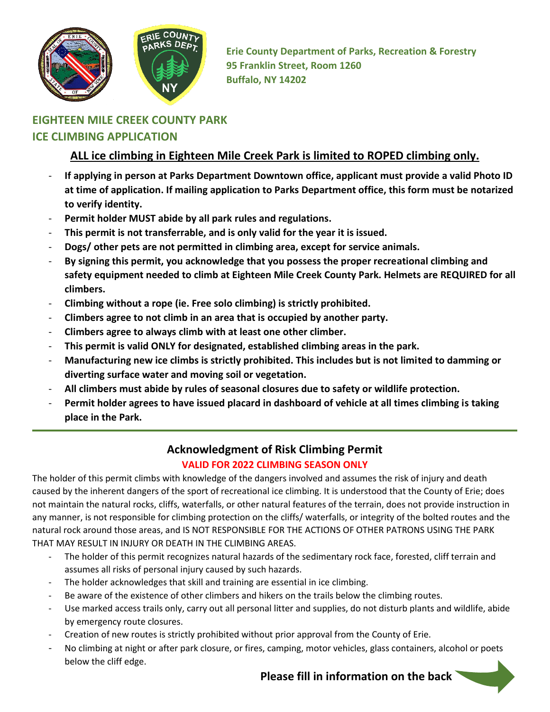

**Erie County Department of Parks, Recreation & Forestry 95 Franklin Street, Room 1260 Buffalo, NY 14202**

## **EIGHTEEN MILE CREEK COUNTY PARK ICE CLIMBING APPLICATION**

## **ALL ice climbing in Eighteen Mile Creek Park is limited to ROPED climbing only.**

- **If applying in person at Parks Department Downtown office, applicant must provide a valid Photo ID at time of application. If mailing application to Parks Department office, this form must be notarized to verify identity.**
- Permit holder MUST abide by all park rules and regulations.
- **This permit is not transferrable, and is only valid for the year it is issued.**
- **Dogs/ other pets are not permitted in climbing area, except for service animals.**
- **By signing this permit, you acknowledge that you possess the proper recreational climbing and safety equipment needed to climb at Eighteen Mile Creek County Park. Helmets are REQUIRED for all climbers.**
- **Climbing without a rope (ie. Free solo climbing) is strictly prohibited.**
- **Climbers agree to not climb in an area that is occupied by another party.**
- **Climbers agree to always climb with at least one other climber.**
- **This permit is valid ONLY for designated, established climbing areas in the park.**
- **Manufacturing new ice climbs is strictly prohibited. This includes but is not limited to damming or diverting surface water and moving soil or vegetation.**
- **All climbers must abide by rules of seasonal closures due to safety or wildlife protection.**
- **Permit holder agrees to have issued placard in dashboard of vehicle at all times climbing is taking place in the Park.**

## **Acknowledgment of Risk Climbing Permit**

## **VALID FOR 2022 CLIMBING SEASON ONLY**

The holder of this permit climbs with knowledge of the dangers involved and assumes the risk of injury and death caused by the inherent dangers of the sport of recreational ice climbing. It is understood that the County of Erie; does not maintain the natural rocks, cliffs, waterfalls, or other natural features of the terrain, does not provide instruction in any manner, is not responsible for climbing protection on the cliffs/ waterfalls, or integrity of the bolted routes and the natural rock around those areas, and IS NOT RESPONSIBLE FOR THE ACTIONS OF OTHER PATRONS USING THE PARK THAT MAY RESULT IN INJURY OR DEATH IN THE CLIMBING AREAS.

- The holder of this permit recognizes natural hazards of the sedimentary rock face, forested, cliff terrain and assumes all risks of personal injury caused by such hazards.
- The holder acknowledges that skill and training are essential in ice climbing.
- Be aware of the existence of other climbers and hikers on the trails below the climbing routes.
- Use marked access trails only, carry out all personal litter and supplies, do not disturb plants and wildlife, abide by emergency route closures.
- Creation of new routes is strictly prohibited without prior approval from the County of Erie.
- No climbing at night or after park closure, or fires, camping, motor vehicles, glass containers, alcohol or poets below the cliff edge.

 **Please fill in information on the back**